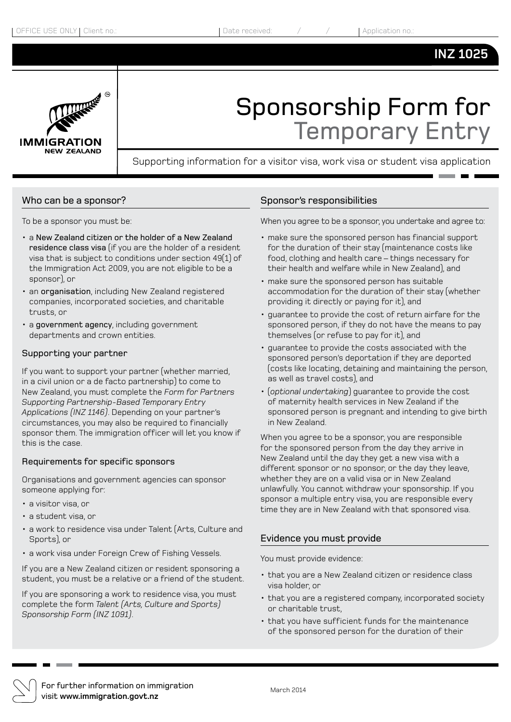### **INZ 1025**



# Sponsorship Form for Temporary Entry

Supporting information for a visitor visa, work visa or student visa application

#### Who can be a sponsor?

To be a sponsor you must be:

- a New Zealand citizen or the holder of a New Zealand residence class visa (if you are the holder of a resident visa that is subject to conditions under section 49(1) of the Immigration Act 2009, you are not eligible to be a sponsor), or
- an organisation, including New Zealand registered companies, incorporated societies, and charitable trusts, or
- a government agency, including government departments and crown entities.

#### Supporting your partner

If you want to support your partner (whether married, in a civil union or a de facto partnership) to come to New Zealand, you must complete the *Form for Partners Supporting Partnership-Based Temporary Entry Applications (INZ 1146)*. Depending on your partner's circumstances, you may also be required to financially sponsor them. The immigration officer will let you know if this is the case.

#### Requirements for specific sponsors

Organisations and government agencies can sponsor someone applying for:

- a visitor visa, or
- a student visa, or
- a work to residence visa under Talent (Arts, Culture and Sports), or
- a work visa under Foreign Crew of Fishing Vessels.

If you are a New Zealand citizen or resident sponsoring a student, you must be a relative or a friend of the student.

If you are sponsoring a work to residence visa, you must complete the form *Talent (Arts, Culture and Sports) Sponsorship Form (INZ 1091)*.

#### Sponsor's responsibilities

When you agree to be a sponsor, you undertake and agree to:

- make sure the sponsored person has financial support for the duration of their stay (maintenance costs like food, clothing and health care – things necessary for their health and welfare while in New Zealand), and
- make sure the sponsored person has suitable accommodation for the duration of their stay (whether providing it directly or paying for it), and
- guarantee to provide the cost of return airfare for the sponsored person, if they do not have the means to pay themselves (or refuse to pay for it), and
- guarantee to provide the costs associated with the sponsored person's deportation if they are deported (costs like locating, detaining and maintaining the person, as well as travel costs), and
- (*optional undertaking*) guarantee to provide the cost of maternity health services in New Zealand if the sponsored person is pregnant and intending to give birth in New Zealand.

When you agree to be a sponsor, you are responsible for the sponsored person from the day they arrive in New Zealand until the day they get a new visa with a different sponsor or no sponsor, or the day they leave, whether they are on a valid visa or in New Zealand unlawfully. You cannot withdraw your sponsorship. If you sponsor a multiple entry visa, you are responsible every time they are in New Zealand with that sponsored visa.

#### Evidence you must provide

You must provide evidence:

- that you are a New Zealand citizen or residence class visa holder, or
- that you are a registered company, incorporated society or charitable trust,
- that you have sufficient funds for the maintenance of the sponsored person for the duration of their



For further information on immigration visit **www.immigration.govt.nz**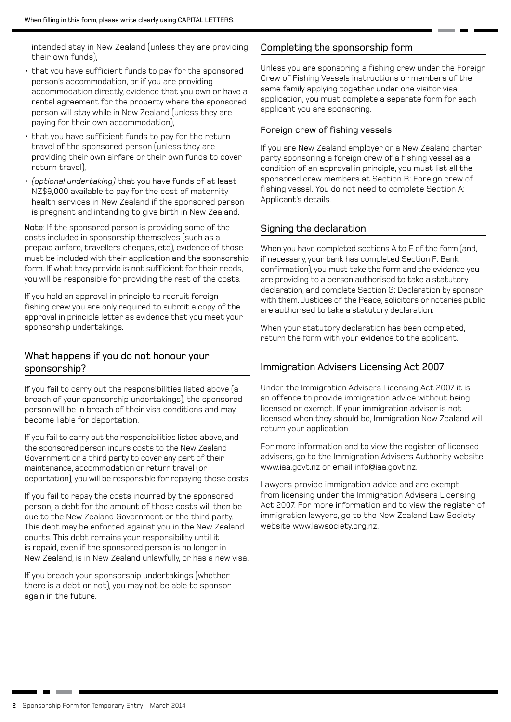intended stay in New Zealand (unless they are providing their own funds),

- that you have sufficient funds to pay for the sponsored person's accommodation, or if you are providing accommodation directly, evidence that you own or have a rental agreement for the property where the sponsored person will stay while in New Zealand (unless they are paying for their own accommodation),
- that you have sufficient funds to pay for the return travel of the sponsored person (unless they are providing their own airfare or their own funds to cover return travel),
- *(optional undertaking)* that you have funds of at least NZ\$9,000 available to pay for the cost of maternity health services in New Zealand if the sponsored person is pregnant and intending to give birth in New Zealand.

Note: If the sponsored person is providing some of the costs included in sponsorship themselves (such as a prepaid airfare, travellers cheques, etc), evidence of those must be included with their application and the sponsorship form. If what they provide is not sufficient for their needs, you will be responsible for providing the rest of the costs.

If you hold an approval in principle to recruit foreign fishing crew you are only required to submit a copy of the approval in principle letter as evidence that you meet your sponsorship undertakings.

#### What happens if you do not honour your sponsorship?

If you fail to carry out the responsibilities listed above (a breach of your sponsorship undertakings), the sponsored person will be in breach of their visa conditions and may become liable for deportation.

If you fail to carry out the responsibilities listed above, and the sponsored person incurs costs to the New Zealand Government or a third party to cover any part of their maintenance, accommodation or return travel (or deportation), you will be responsible for repaying those costs.

If you fail to repay the costs incurred by the sponsored person, a debt for the amount of those costs will then be due to the New Zealand Government or the third party. This debt may be enforced against you in the New Zealand courts. This debt remains your responsibility until it is repaid, even if the sponsored person is no longer in New Zealand, is in New Zealand unlawfully, or has a new visa.

If you breach your sponsorship undertakings (whether there is a debt or not), you may not be able to sponsor again in the future.

#### Completing the sponsorship form

Unless you are sponsoring a fishing crew under the Foreign Crew of Fishing Vessels instructions or members of the same family applying together under one visitor visa application, you must complete a separate form for each applicant you are sponsoring.

#### Foreign crew of fishing vessels

If you are New Zealand employer or a New Zealand charter party sponsoring a foreign crew of a fishing vessel as a condition of an approval in principle, you must list all the sponsored crew members at Section B: Foreign crew of fishing vessel. You do not need to complete Section A: Applicant's details.

#### Signing the declaration

When you have completed sections A to E of the form (and, if necessary, your bank has completed Section F: Bank confirmation), you must take the form and the evidence you are providing to a person authorised to take a statutory declaration, and complete Section G: Declaration by sponsor with them. Justices of the Peace, solicitors or notaries public are authorised to take a statutory declaration.

When your statutory declaration has been completed, return the form with your evidence to the applicant.

#### Immigration Advisers Licensing Act 2007

Under the Immigration Advisers Licensing Act 2007 it is an offence to provide immigration advice without being licensed or exempt. If your immigration adviser is not licensed when they should be, Immigration New Zealand will return your application.

For more information and to view the register of licensed advisers, go to the Immigration Advisers Authority website www.iaa.govt.nz or email info@iaa.govt.nz.

Lawyers provide immigration advice and are exempt from licensing under the Immigration Advisers Licensing Act 2007. For more information and to view the register of immigration lawyers, go to the New Zealand Law Society website www.lawsociety.org.nz.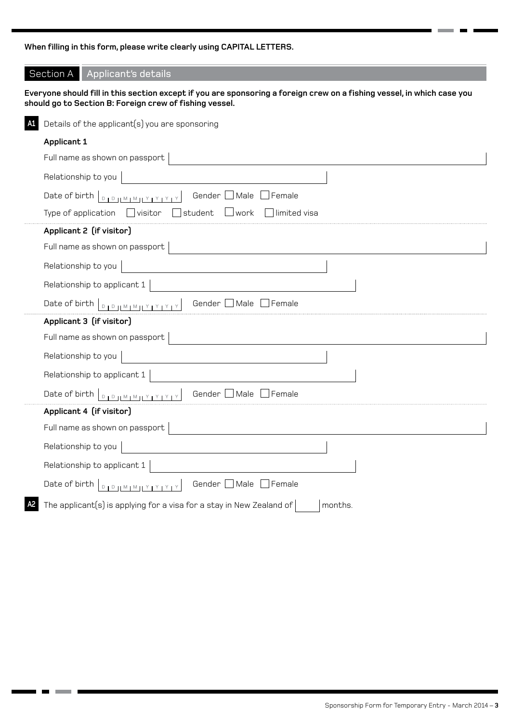**When filling in this form, please write clearly using CAPITAL LETTERS.**

#### Section A Applicant's details

**Everyone should fill in this section except if you are sponsoring a foreign crew on a fishing vessel, in which case you should go to Section B: Foreign crew of fishing vessel.**

| A1. | Details of the applicant(s) you are sponsoring                                                                                                                                               |
|-----|----------------------------------------------------------------------------------------------------------------------------------------------------------------------------------------------|
|     | Applicant 1                                                                                                                                                                                  |
|     | Full name as shown on passport                                                                                                                                                               |
|     | Relationship to you                                                                                                                                                                          |
|     | Gender [<br>Date of birth DIDIMIMIYIYIY<br>Male<br>$\top$ Female                                                                                                                             |
|     | student<br>llimited visa<br>Type of application<br>$\Box$ visitor<br>work                                                                                                                    |
|     | Applicant 2 (if visitor)                                                                                                                                                                     |
|     | Full name as shown on passport                                                                                                                                                               |
|     | Relationship to you                                                                                                                                                                          |
|     | Relationship to applicant 1                                                                                                                                                                  |
|     | Date of birth $\Big _{\mathbb{D}_1\mathbb{D}_1\mathbb{M}_1\mathbb{M}_1\mathbb{M}_2\mathbb{M}_3\mathbb{M}_4\mathbb{M}_5\mathbb{M}_7\mathbb{M}_8\mathbb{M}_7\Big $<br>Gender<br>Male<br>Female |
|     | Applicant 3 (if visitor)                                                                                                                                                                     |
|     | Full name as shown on passport                                                                                                                                                               |
|     | Relationship to you                                                                                                                                                                          |
|     | Relationship to applicant 1                                                                                                                                                                  |
|     | Gender Male<br>Female                                                                                                                                                                        |
|     | Applicant 4 (if visitor)                                                                                                                                                                     |
|     | Full name as shown on passport                                                                                                                                                               |
|     | Relationship to you                                                                                                                                                                          |
|     | Relationship to applicant 1                                                                                                                                                                  |
|     | Gender Male Female<br>Date of birth   DIDIMIMILY IYIYIY                                                                                                                                      |
| А2  | The applicant(s) is applying for a visa for a stay in New Zealand of<br>months.                                                                                                              |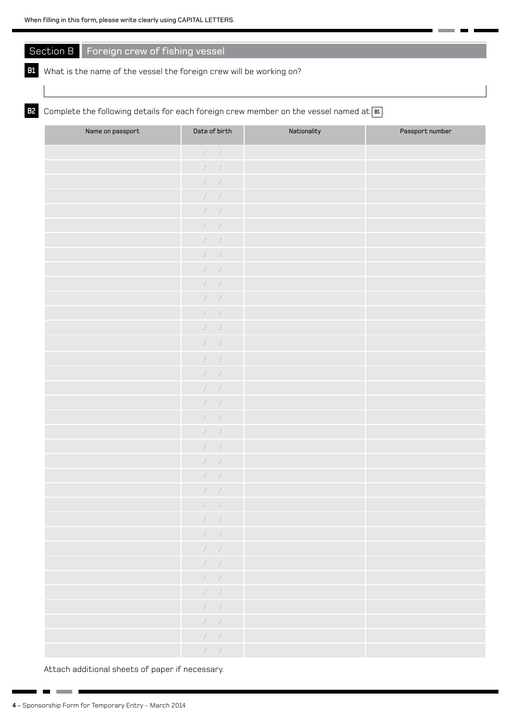### Section B Foreign crew of fishing vessel

#### **B1** What is the name of the vessel the foreign crew will be working on?

**B2** Complete the following details for each foreign crew member on the vessel named at  $\boxed{\mathbf{B}}$ .

| Name on passport | Date of birth                     | Nationality | Passport number |
|------------------|-----------------------------------|-------------|-----------------|
|                  | $\mathcal{N}=\mathcal{N}$         |             |                 |
|                  | $\mathcal{N}=\mathcal{N}$         |             |                 |
|                  | $\left\vert \quad\right\vert$     |             |                 |
|                  | $\left\vert \quad\right\vert$     |             |                 |
|                  | 1/                                |             |                 |
|                  | $\left\vert \quad\right\vert$     |             |                 |
|                  | $\left\vert \quad\right\vert$     |             |                 |
|                  | $\prime$ /                        |             |                 |
|                  | $\mathcal{N}=\mathcal{N}$         |             |                 |
|                  | $\prime$ /                        |             |                 |
|                  | $\mathcal{N}=\mathcal{N}$         |             |                 |
|                  | $\sqrt{2}$                        |             |                 |
|                  | $\left\vert \quad\right\vert$     |             |                 |
|                  | $\sqrt{2}$                        |             |                 |
|                  | $\left\vert \quad\right\vert$     |             |                 |
|                  | $\sqrt{2}$                        |             |                 |
|                  | $\prime$ /                        |             |                 |
|                  | $\mathcal{N}=\mathcal{N}$         |             |                 |
|                  | $\left\vert \quad\right\vert$     |             |                 |
|                  | $\mathcal{N}=\mathcal{N}$         |             |                 |
|                  | $\sqrt{2}$                        |             |                 |
|                  | $\left\vert \quad\right\vert$     |             |                 |
|                  | $\prime$ /                        |             |                 |
|                  | $\left\vert \quad\right\vert$     |             |                 |
|                  | $\left\vert \quad\right\vert$     |             |                 |
|                  | $\mathcal{F}=\mathcal{F}$         |             |                 |
|                  | $\mathcal{F}=\mathcal{F}$         |             |                 |
|                  | $\mathcal{F}=\mathcal{F}$         |             |                 |
|                  | $\mathcal{F}=\mathcal{F}$         |             |                 |
|                  | $\sqrt{2}$                        |             |                 |
|                  | $\mathcal{F}=\mathcal{F}$         |             |                 |
|                  | $\mathcal{F}=\mathcal{F}$         |             |                 |
|                  | $\mathcal{F}=\mathcal{F}$         |             |                 |
|                  | $\mathcal{F}=\mathcal{F}$         |             |                 |
|                  | $\mathcal{F} \subset \mathcal{F}$ |             |                 |

Attach additional sheets of paper if necessary.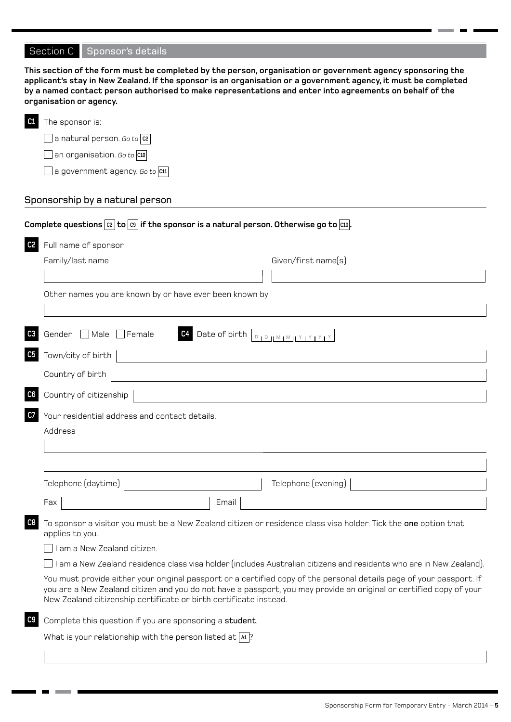# Section C Sponsor's details

|                | This section of the form must be completed by the person, organisation or government agency sponsoring the<br>applicant's stay in New Zealand. If the sponsor is an organisation or a government agency, it must be completed<br>by a named contact person authorised to make representations and enter into agreements on behalf of the<br>organisation or agency. |
|----------------|---------------------------------------------------------------------------------------------------------------------------------------------------------------------------------------------------------------------------------------------------------------------------------------------------------------------------------------------------------------------|
| C1             | The sponsor is:                                                                                                                                                                                                                                                                                                                                                     |
|                | $\Box$ a natural person. Go to $ $ $\hbox{c}$ $\,$                                                                                                                                                                                                                                                                                                                  |
|                | $\Box$ an organisation. Go to $ {\mathfrak{c}}$ 10                                                                                                                                                                                                                                                                                                                  |
|                | $\rfloor$ a government agency. Go to $ {\mathfrak{c}}{\mathfrak{u}} $                                                                                                                                                                                                                                                                                               |
|                | Sponsorship by a natural person                                                                                                                                                                                                                                                                                                                                     |
|                | Complete questions $ c_2 $ to $ c_9 $ if the sponsor is a natural person. Otherwise go to $ c_9 $ .                                                                                                                                                                                                                                                                 |
| C <sub>2</sub> | Full name of sponsor                                                                                                                                                                                                                                                                                                                                                |
|                | Given/first name(s)<br>Family/last name                                                                                                                                                                                                                                                                                                                             |
|                |                                                                                                                                                                                                                                                                                                                                                                     |
|                | Other names you are known by or have ever been known by                                                                                                                                                                                                                                                                                                             |
| C <sub>3</sub> | Gender Male Female                                                                                                                                                                                                                                                                                                                                                  |
| C5             | Town/city of birth                                                                                                                                                                                                                                                                                                                                                  |
|                | Country of birth                                                                                                                                                                                                                                                                                                                                                    |
| C6             | Country of citizenship                                                                                                                                                                                                                                                                                                                                              |
| C7             | Your residential address and contact details.<br>Address                                                                                                                                                                                                                                                                                                            |
|                | Telephone (daytime)<br>Telephone (evening)                                                                                                                                                                                                                                                                                                                          |
|                | Email<br>Fax                                                                                                                                                                                                                                                                                                                                                        |
| C8             | To sponsor a visitor you must be a New Zealand citizen or residence class visa holder. Tick the one option that<br>applies to you.                                                                                                                                                                                                                                  |
|                | am a New Zealand citizen.                                                                                                                                                                                                                                                                                                                                           |
|                | am a New Zealand residence class visa holder (includes Australian citizens and residents who are in New Zealand).                                                                                                                                                                                                                                                   |
|                | You must provide either your original passport or a certified copy of the personal details page of your passport. If<br>you are a New Zealand citizen and you do not have a passport, you may provide an original or certified copy of your<br>New Zealand citizenship certificate or birth certificate instead.                                                    |
| C <sub>9</sub> | Complete this question if you are sponsoring a student.                                                                                                                                                                                                                                                                                                             |
|                | What is your relationship with the person listed at $ a $ ?                                                                                                                                                                                                                                                                                                         |
|                |                                                                                                                                                                                                                                                                                                                                                                     |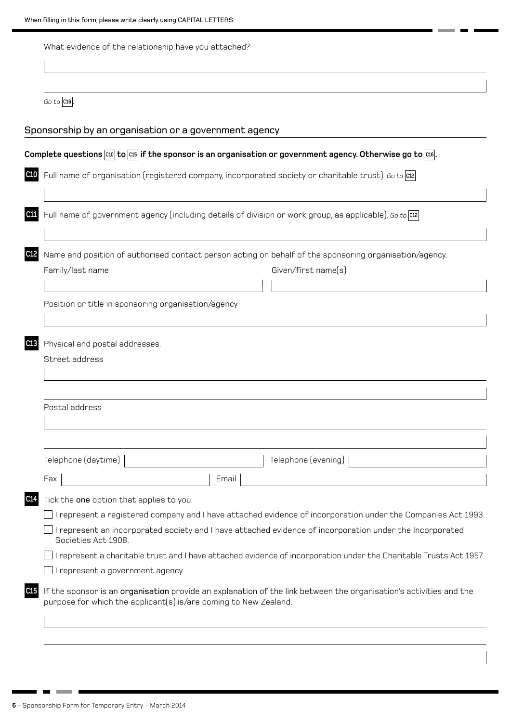When filling in this form, please write clearly using CAPITAL LETTERS.

| Go to $ C16 $ .                          |                                                                                                                               |
|------------------------------------------|-------------------------------------------------------------------------------------------------------------------------------|
|                                          | Sponsorship by an organisation or a government agency                                                                         |
|                                          | Complete questions $\cos$ to $\cos$ if the sponsor is an organisation or government agency. Otherwise go to $\cos$ .          |
|                                          | Full name of organisation (registered company, incorporated society or charitable trust). Go to cte                           |
|                                          | Full name of government agency (including details of division or work group, as applicable). Go to $ cz $                     |
| Family/last name                         | Name and position of authorised contact person acting on behalf of the sponsoring organisation/agency.<br>Given/first name(s) |
|                                          | Position or title in sponsoring organisation/agency                                                                           |
| Physical and postal addresses.           |                                                                                                                               |
|                                          |                                                                                                                               |
| Street address                           |                                                                                                                               |
| Postal address                           |                                                                                                                               |
|                                          |                                                                                                                               |
| Telephone (daytime)                      | Telephone (evening)                                                                                                           |
| Fax                                      | Email                                                                                                                         |
| Tick the one option that applies to you. |                                                                                                                               |
|                                          | I represent a registered company and I have attached evidence of incorporation under the Companies Act 1993.                  |
| Societies Act 1908.                      | I represent an incorporated society and I have attached evidence of incorporation under the Incorporated                      |
|                                          | I represent a charitable trust and I have attached evidence of incorporation under the Charitable Trusts Act 1957.            |
| I represent a government agency.         |                                                                                                                               |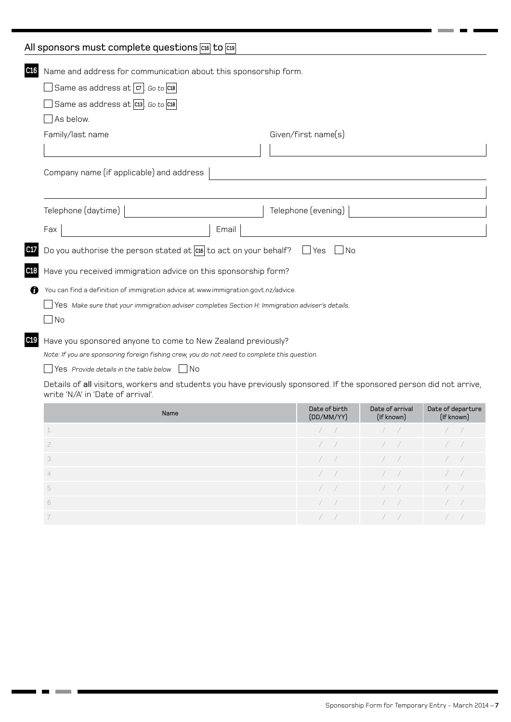## All sponsors must complete questions  $\frac{\cos \theta}{\cos \theta}$  to  $\frac{\cos \theta}{\cos \theta}$

| C16 | Name and address for communication about this sponsorship form.                                                                                           |                     |
|-----|-----------------------------------------------------------------------------------------------------------------------------------------------------------|---------------------|
|     | Same as address at $ c_7 $ . Go to $ c_{18} $                                                                                                             |                     |
|     | Same as address at C13. Go to C18                                                                                                                         |                     |
|     | As below.                                                                                                                                                 |                     |
|     | Family/last name                                                                                                                                          | Given/first name(s) |
|     |                                                                                                                                                           |                     |
|     |                                                                                                                                                           |                     |
|     | Company name (if applicable) and address                                                                                                                  |                     |
|     |                                                                                                                                                           |                     |
|     | Telephone $(d$ aytime $)$                                                                                                                                 | Telephone (evening) |
|     | Fax<br>Email                                                                                                                                              |                     |
| C17 | Do you authorise the person stated at $ cos $ to act on your behalf?                                                                                      | Yes<br>- I No       |
| C18 | Have you received immigration advice on this sponsorship form?                                                                                            |                     |
| O   | You can find a definition of immigration advice at www.immigration.govt.nz/advice.                                                                        |                     |
|     | Yes Make sure that your immigration adviser completes Section H: Immigration adviser's details.                                                           |                     |
|     | No                                                                                                                                                        |                     |
| C19 | Have you sponsored anyone to come to New Zealand previously?                                                                                              |                     |
|     | Note: If you are sponsoring foreign fishing crew, you do not need to complete this question.                                                              |                     |
|     | Yes Provide details in the table below. $\Box$ No                                                                                                         |                     |
|     | Details of all visitors, workers and students you have previously sponsored. If the sponsored person did not arrive,<br>write 'N/A' in 'Date of arrival'. |                     |

| Name | Date of birth<br>(DD/MM/YY) | Date of arrival<br>(If known)                  | Date of departure<br>(If known) |
|------|-----------------------------|------------------------------------------------|---------------------------------|
| L.   |                             |                                                |                                 |
| 2.   |                             | $\sqrt{1}$                                     |                                 |
| 3.   |                             | $\sqrt{2}$                                     |                                 |
|      | $\sqrt{2}$                  | $\sqrt{1}$                                     |                                 |
| 5    |                             | $\left  \begin{array}{cc} \end{array} \right $ |                                 |
| 6    |                             | $\sqrt{2}$                                     |                                 |
| -7.  |                             |                                                |                                 |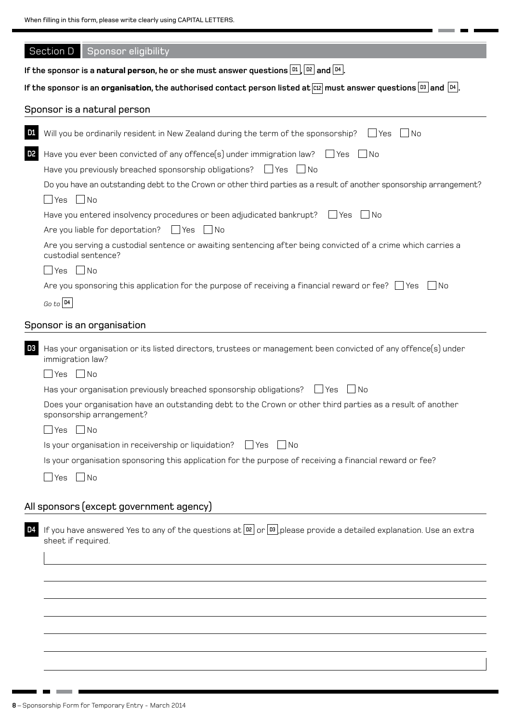$\blacksquare$ 

| Section D   Sponsor eligibility                                                                                                                                  |  |  |  |
|------------------------------------------------------------------------------------------------------------------------------------------------------------------|--|--|--|
| If the sponsor is a <b>natural person,</b> he or she must answer questions $\boxed{\text{D1}}$ , $\boxed{\text{D2}}$ and $\boxed{\text{D4}}$ .                   |  |  |  |
| If the sponsor is an <b>organisation</b> , the authorised contact person listed at $\overline{c12}$ must answer questions $\overline{D3}$ and $\overline{D4}$ .  |  |  |  |
| Sponsor is a natural person                                                                                                                                      |  |  |  |
|                                                                                                                                                                  |  |  |  |
| Will you be ordinarily resident in New Zealand during the term of the sponsorship?<br>$\Box$ No<br><u>D1</u><br>l Yes                                            |  |  |  |
| D2<br>Have you ever been convicted of any offence(s) under immigration law? $\Box$ Yes<br>  No                                                                   |  |  |  |
| Have you previously breached sponsorship obligations? $\Box$ Yes $\Box$ No                                                                                       |  |  |  |
| Do you have an outstanding debt to the Crown or other third parties as a result of another sponsorship arrangement?                                              |  |  |  |
| $\Box$ Yes $\Box$ No                                                                                                                                             |  |  |  |
| Have you entered insolvency procedures or been adjudicated bankrupt? For Yes<br>l INo                                                                            |  |  |  |
| Are you liable for deportation? $\Box$ Yes $\Box$ No                                                                                                             |  |  |  |
| Are you serving a custodial sentence or awaiting sentencing after being convicted of a crime which carries a<br>custodial sentence?                              |  |  |  |
| $\Box$ Yes $\Box$ No                                                                                                                                             |  |  |  |
| Are you sponsoring this application for the purpose of receiving a financial reward or fee? $\Box$ Yes<br>  INo                                                  |  |  |  |
| Go to  D4                                                                                                                                                        |  |  |  |
| Sponsor is an organisation                                                                                                                                       |  |  |  |
| D3<br>Has your organisation or its listed directors, trustees or management been convicted of any offence(s) under<br>immigration law?                           |  |  |  |
| $\Box$ Yes $\Box$ No                                                                                                                                             |  |  |  |
| Has your organisation previously breached sponsorship obligations? $\Box$ Yes<br>$\lceil \cdot \rfloor$ No                                                       |  |  |  |
| Does your organisation have an outstanding debt to the Crown or other third parties as a result of another<br>sponsorship arrangement?                           |  |  |  |
| $\Box$ Yes $\Box$ No                                                                                                                                             |  |  |  |
| Is your organisation in receivership or liquidation?<br>l lYes I INo                                                                                             |  |  |  |
| Is your organisation sponsoring this application for the purpose of receiving a financial reward or fee?                                                         |  |  |  |
| $\exists$ Yes $\Box$ No                                                                                                                                          |  |  |  |
|                                                                                                                                                                  |  |  |  |
| All sponsors (except government agency)                                                                                                                          |  |  |  |
| If you have answered Yes to any of the questions at $\boxed{p2}$ or $\boxed{p3}$ please provide a detailed explanation. Use an extra<br>D4<br>sheet if required. |  |  |  |
|                                                                                                                                                                  |  |  |  |
|                                                                                                                                                                  |  |  |  |
|                                                                                                                                                                  |  |  |  |
|                                                                                                                                                                  |  |  |  |
|                                                                                                                                                                  |  |  |  |
|                                                                                                                                                                  |  |  |  |
|                                                                                                                                                                  |  |  |  |

. . . .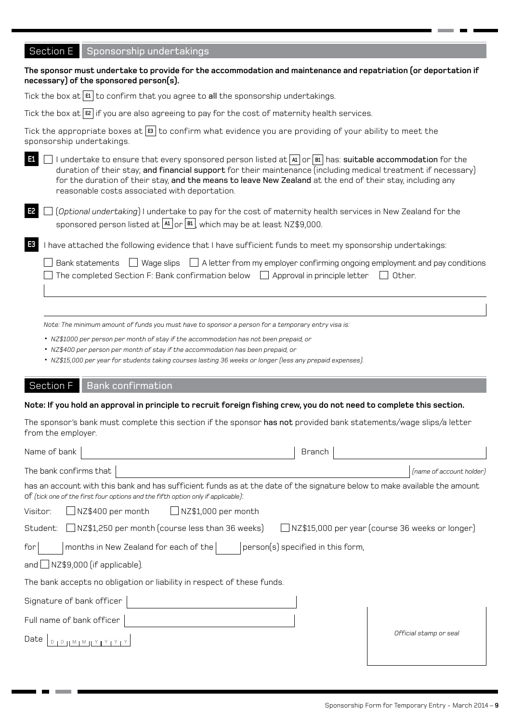### Section E Sponsorship undertakings

| necessary) of the sponsored person(s).                                                                                                                                                                                                                                                                                                                                                                |
|-------------------------------------------------------------------------------------------------------------------------------------------------------------------------------------------------------------------------------------------------------------------------------------------------------------------------------------------------------------------------------------------------------|
| Tick the box at $ \mathbf{E} $ to confirm that you agree to all the sponsorship undertakings.                                                                                                                                                                                                                                                                                                         |
| Tick the box at $ \mathbf{E} $ if you are also agreeing to pay for the cost of maternity health services.                                                                                                                                                                                                                                                                                             |
| Tick the appropriate boxes at $ \mathbf{s} $ to confirm what evidence you are providing of your ability to meet the<br>sponsorship undertakings.                                                                                                                                                                                                                                                      |
| I undertake to ensure that every sponsored person listed at $ A $ or $ B $ has: suitable accommodation for the<br>E1<br>duration of their stay; and financial support for their maintenance (including medical treatment if necessary)<br>for the duration of their stay, and the means to leave New Zealand at the end of their stay, including any<br>reasonable costs associated with deportation. |
| E2<br>(Optional undertaking) I undertake to pay for the cost of maternity health services in New Zealand for the<br>sponsored person listed at $\frac{A1}{A}$ or $\frac{B1}{B}$ , which may be at least NZ\$9,000.                                                                                                                                                                                    |
| E <sub>3</sub><br>I have attached the following evidence that I have sufficient funds to meet my sponsorship undertakings:                                                                                                                                                                                                                                                                            |
| Bank statements $\Box$ Wage slips $\Box$ A letter from my employer confirming ongoing employment and pay conditions<br>The completed Section F: Bank confirmation below $\Box$ Approval in principle letter<br>Other.                                                                                                                                                                                 |
|                                                                                                                                                                                                                                                                                                                                                                                                       |
| Note: The minimum amount of funds you must have to sponsor a person for a temporary entry visa is:                                                                                                                                                                                                                                                                                                    |

**The sponsor must undertake to provide for the accommodation and maintenance and repatriation (or deportation if** 

• *NZ\$1000 per person per month of stay if the accommodation has not been prepaid, or*

- *NZ\$400 per person per month of stay if the accommodation has been prepaid, or*
- *NZ\$15,000 per year for students taking courses lasting 36 weeks or longer (less any prepaid expenses).*

#### Section F | Bank confirmation

#### **Note: If you hold an approval in principle to recruit foreign fishing crew, you do not need to complete this section.**

The sponsor's bank must complete this section if the sponsor has not provided bank statements/wage slips/a letter from the employer.

| Name of bank                                                                                                                                                                                                  | <b>Branch</b>                                   |
|---------------------------------------------------------------------------------------------------------------------------------------------------------------------------------------------------------------|-------------------------------------------------|
| The bank confirms that                                                                                                                                                                                        | (name of account holder)                        |
| has an account with this bank and has sufficient funds as at the date of the signature below to make available the amount<br>of (tick one of the first four options and the fifth option only if applicable): |                                                 |
| $\Box$ NZ\$400 per month<br>$\Box$ NZ\$1,000 per month<br>Visitor:                                                                                                                                            |                                                 |
| $\Box$ NZ\$1,250 per month (course less than 36 weeks)<br>Student:                                                                                                                                            | NZ\$15,000 per year (course 36 weeks or longer) |
| months in New Zealand for each of the<br>for                                                                                                                                                                  | person(s) specified in this form,               |
| and $\Box$ NZ\$9,000 (if applicable).                                                                                                                                                                         |                                                 |
| The bank accepts no obligation or liability in respect of these funds.                                                                                                                                        |                                                 |
| Signature of bank officer                                                                                                                                                                                     |                                                 |
| Full name of bank officer                                                                                                                                                                                     |                                                 |
| Date                                                                                                                                                                                                          | Official stamp or seal                          |
|                                                                                                                                                                                                               |                                                 |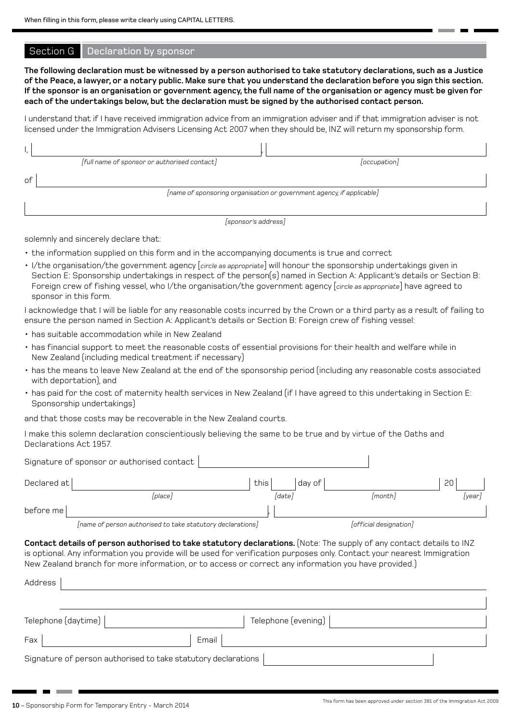#### Section G | Declaration by sponsor

**The following declaration must be witnessed by a person authorised to take statutory declarations, such as a Justice of the Peace, a lawyer, or a notary public. Make sure that you understand the declaration before you sign this section. If the sponsor is an organisation or government agency, the full name of the organisation or agency must be given for each of the undertakings below, but the declaration must be signed by the authorised contact person.**

I understand that if I have received immigration advice from an immigration adviser and if that immigration adviser is not licensed under the Immigration Advisers Licensing Act 2007 when they should be, INZ will return my sponsorship form.

|    | [full name of sponsor or authorised contact]                          | occupation |
|----|-----------------------------------------------------------------------|------------|
| оf |                                                                       |            |
|    | [name of sponsoring organisation or government agency, if applicable] |            |
|    |                                                                       |            |

*[sponsor's address]*

solemnly and sincerely declare that:

- the information supplied on this form and in the accompanying documents is true and correct
- I/the organisation/the government agency [*circle as appropriate*] will honour the sponsorship undertakings given in Section E: Sponsorship undertakings in respect of the person(s) named in Section A: Applicant's details or Section B: Foreign crew of fishing vessel, who I/the organisation/the government agency [*circle as appropriate*] have agreed to sponsor in this form.

I acknowledge that I will be liable for any reasonable costs incurred by the Crown or a third party as a result of failing to ensure the person named in Section A: Applicant's details or Section B: Foreign crew of fishing vessel:

- has suitable accommodation while in New Zealand
- has financial support to meet the reasonable costs of essential provisions for their health and welfare while in New Zealand (including medical treatment if necessary)
- has the means to leave New Zealand at the end of the sponsorship period (including any reasonable costs associated with deportation), and
- has paid for the cost of maternity health services in New Zealand (if I have agreed to this undertaking in Section E: Sponsorship undertakings)

and that those costs may be recoverable in the New Zealand courts.

I make this solemn declaration conscientiously believing the same to be true and by virtue of the Oaths and Declarations Act 1957.

| Signature of sponsor or authorised contact                                                                                                                                                                                                                                                                                                                        |                     |                        |      |
|-------------------------------------------------------------------------------------------------------------------------------------------------------------------------------------------------------------------------------------------------------------------------------------------------------------------------------------------------------------------|---------------------|------------------------|------|
| Declared at                                                                                                                                                                                                                                                                                                                                                       | this<br>day of      |                        | 20   |
| [place]                                                                                                                                                                                                                                                                                                                                                           | [date]              | [month]                | year |
| before me                                                                                                                                                                                                                                                                                                                                                         |                     |                        |      |
| [name of person authorised to take statutory declarations]                                                                                                                                                                                                                                                                                                        |                     | [official designation] |      |
| Contact details of person authorised to take statutory declarations. (Note: The supply of any contact details to INZ<br>is optional. Any information you provide will be used for verification purposes only. Contact your nearest Immigration<br>New Zealand branch for more information, or to access or correct any information you have provided.)<br>Address |                     |                        |      |
| Telephone (daytime)                                                                                                                                                                                                                                                                                                                                               | Telephone (evening) |                        |      |
| Fax                                                                                                                                                                                                                                                                                                                                                               | Email               |                        |      |
| Signature of person authorised to take statutory declarations                                                                                                                                                                                                                                                                                                     |                     |                        |      |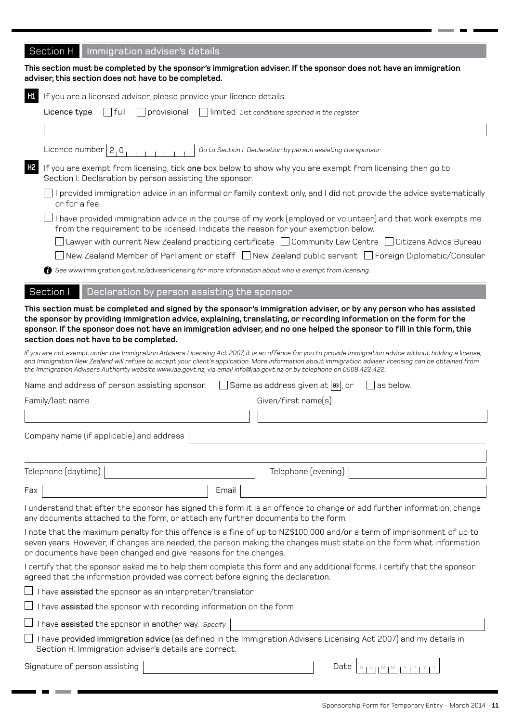# Section H | Immigration adviser's details

|                | This section must be completed by the sponsor's immigration adviser. If the sponsor does not have an immigration<br>adviser, this section does not have to be completed.                                                                                                                                                                                                                                                                        |
|----------------|-------------------------------------------------------------------------------------------------------------------------------------------------------------------------------------------------------------------------------------------------------------------------------------------------------------------------------------------------------------------------------------------------------------------------------------------------|
| H1             | If you are a licensed adviser, please provide your licence details.                                                                                                                                                                                                                                                                                                                                                                             |
|                | Licence type<br>$\vert \vert$ full<br>$\Box$ provisional<br>$\Box$ limited List conditions specified in the register                                                                                                                                                                                                                                                                                                                            |
|                | Licence number $2,0$<br>Go to Section I: Declaration by person assisting the sponsor                                                                                                                                                                                                                                                                                                                                                            |
| H <sub>2</sub> | If you are exempt from licensing, tick one box below to show why you are exempt from licensing then go to<br>Section I: Declaration by person assisting the sponsor.                                                                                                                                                                                                                                                                            |
|                | I provided immigration advice in an informal or family context only, and I did not provide the advice systematically<br>or for a fee.                                                                                                                                                                                                                                                                                                           |
|                | I have provided immigration advice in the course of my work (employed or volunteer) and that work exempts me<br>from the requirement to be licensed. Indicate the reason for your exemption below.                                                                                                                                                                                                                                              |
|                | Lawyer with current New Zealand practicing certificate □ Community Law Centre □ Citizens Advice Bureau                                                                                                                                                                                                                                                                                                                                          |
|                | New Zealand Member of Parliament or staff □ New Zealand public servant □ Foreign Diplomatic/Consular                                                                                                                                                                                                                                                                                                                                            |
|                | See www.immigration.govt.nz/adviserlicensing for more information about who is exempt from licensing.                                                                                                                                                                                                                                                                                                                                           |
|                | Section I<br>Declaration by person assisting the sponsor                                                                                                                                                                                                                                                                                                                                                                                        |
|                | This section must be completed and signed by the sponsor's immigration adviser, or by any person who has assisted<br>the sponsor by providing immigration advice, explaining, translating, or recording information on the form for the<br>sponsor. If the sponsor does not have an immigration adviser, and no one helped the sponsor to fill in this form, this<br>section does not have to be completed.                                     |
|                | If you are not exempt under the Immigration Advisers Licensing Act 2007, it is an offence for you to provide immigration advice without holding a license,<br>and Immigration New Zealand will refuse to accept your client's application. More information about immigration adviser licensing can be obtained from<br>the Immigration Advisers Authority website www.iaa.govt.nz, via email info@iaa.govt.nz or by telephone on 0508 422 422. |
|                | $\rfloor$ Same as address given at $\vert$ вз $\vert$ , or<br>Name and address of person assisting sponsor.<br>as below.                                                                                                                                                                                                                                                                                                                        |
|                | Given/first name(s)<br>Family/last name                                                                                                                                                                                                                                                                                                                                                                                                         |
|                |                                                                                                                                                                                                                                                                                                                                                                                                                                                 |
|                | Company name (if applicable) and address                                                                                                                                                                                                                                                                                                                                                                                                        |
|                | Telephone (daytime)<br>Telephone (evening)                                                                                                                                                                                                                                                                                                                                                                                                      |
| Fax            | Email                                                                                                                                                                                                                                                                                                                                                                                                                                           |
|                | I understand that after the sponsor has signed this form it is an offence to change or add further information, change<br>any documents attached to the form, or attach any further documents to the form.                                                                                                                                                                                                                                      |
|                | I note that the maximum penalty for this offence is a fine of up to NZ\$100,000 and/or a term of imprisonment of up to<br>seven years. However, if changes are needed, the person making the changes must state on the form what information<br>or documents have been changed and give reasons for the changes.                                                                                                                                |
|                | I certify that the sponsor asked me to help them complete this form and any additional forms. I certify that the sponsor<br>agreed that the information provided was correct before signing the declaration.                                                                                                                                                                                                                                    |
|                | I have assisted the sponsor as an interpreter/translator                                                                                                                                                                                                                                                                                                                                                                                        |
|                | I have assisted the sponsor with recording information on the form                                                                                                                                                                                                                                                                                                                                                                              |
|                | I have assisted the sponsor in another way. Specify                                                                                                                                                                                                                                                                                                                                                                                             |
|                | I have provided immigration advice (as defined in the Immigration Advisers Licensing Act 2007) and my details in<br>Section H: Immigration adviser's details are correct.                                                                                                                                                                                                                                                                       |
|                | Signature of person assisting<br>Date<br>$D + D + M + M + M + Y + Y$                                                                                                                                                                                                                                                                                                                                                                            |